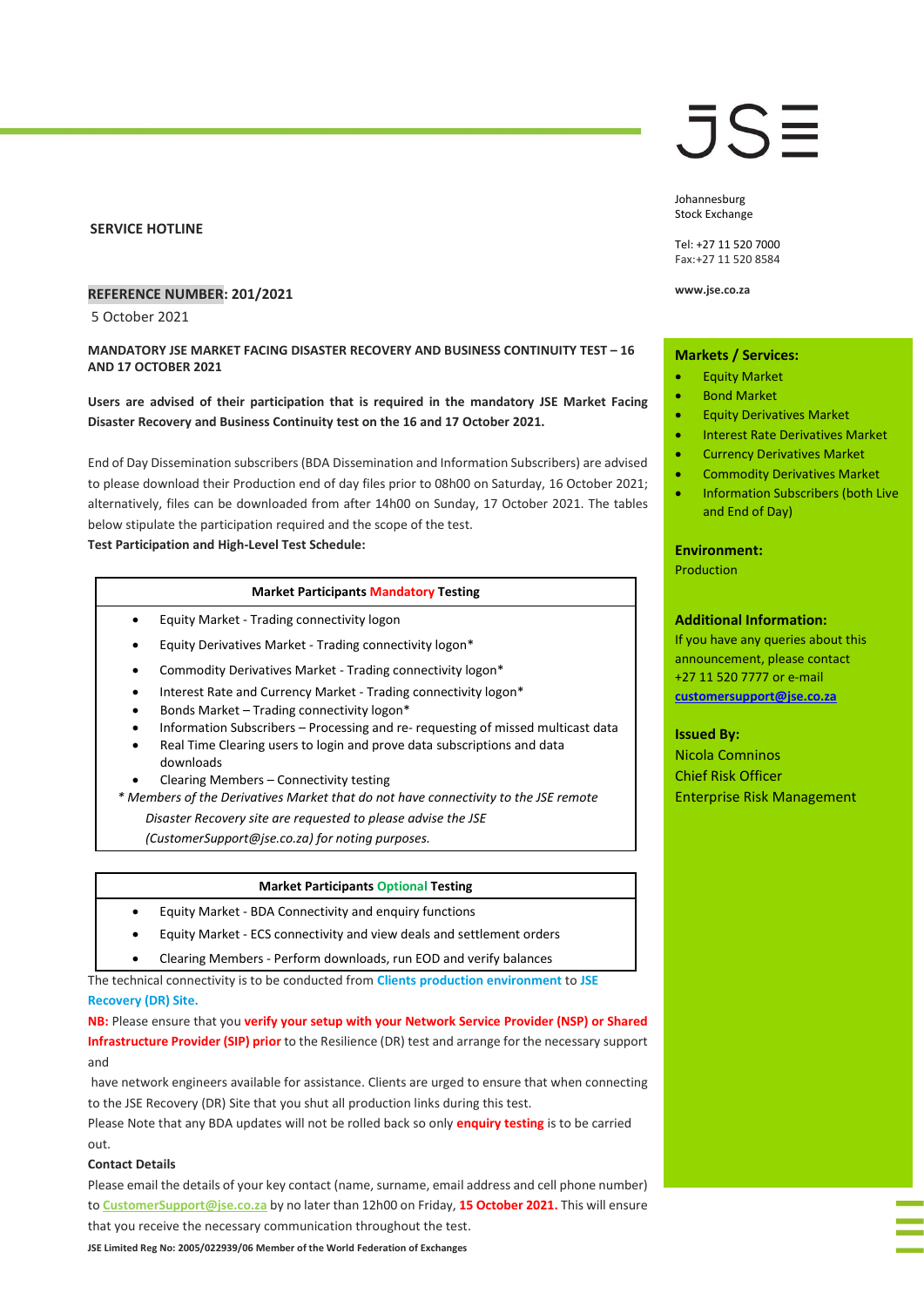#### **SERVICE HOTLINE**

### **REFERENCE NUMBER: 201/2021**

5 October 2021

**MANDATORY JSE MARKET FACING DISASTER RECOVERY AND BUSINESS CONTINUITY TEST – 16 AND 17 OCTOBER 2021**

**Users are advised of their participation that is required in the mandatory JSE Market Facing Disaster Recovery and Business Continuity test on the 16 and 17 October 2021.**

End of Day Dissemination subscribers (BDA Dissemination and Information Subscribers) are advised to please download their Production end of day files prior to 08h00 on Saturday, 16 October 2021; alternatively, files can be downloaded from after 14h00 on Sunday, 17 October 2021. The tables below stipulate the participation required and the scope of the test.

**Test Participation and High-Level Test Schedule:**

#### **Market Participants Mandatory Testing**

- Equity Market Trading connectivity logon
- Equity Derivatives Market Trading connectivity logon\*
- Commodity Derivatives Market Trading connectivity logon\*
- Interest Rate and Currency Market Trading connectivity logon\*
- Bonds Market Trading connectivity logon\*
- Information Subscribers Processing and re- requesting of missed multicast data
- Real Time Clearing users to login and prove data subscriptions and data downloads
- Clearing Members Connectivity testing

*\* Members of the Derivatives Market that do not have connectivity to the JSE remote Disaster Recovery site are requested to please advise the JSE (CustomerSupport@jse.co.za) for noting purposes.*

#### **Market Participants Optional Testing**

- Equity Market BDA Connectivity and enquiry functions
- Equity Market ECS connectivity and view deals and settlement orders
- Clearing Members Perform downloads, run EOD and verify balances

The technical connectivity is to be conducted from **Clients production environment** to **JSE Recovery (DR) Site.**

**NB:** Please ensure that you **verify your setup with your Network Service Provider (NSP) or Shared Infrastructure Provider (SIP) prior** to the Resilience (DR) test and arrange for the necessary support and

have network engineers available for assistance. Clients are urged to ensure that when connecting to the JSE Recovery (DR) Site that you shut all production links during this test.

Please Note that any BDA updates will not be rolled back so only **enquiry testing** is to be carried out.

#### **Contact Details**

Please email the details of your key contact (name, surname, email address and cell phone number) to **[CustomerSupport@jse.co.za](mailto:CustomerSupport@jse.co.za)** by no later than 12h00 on Friday, **15 October 2021.** This will ensure that you receive the necessary communication throughout the test.

**JSE Limited Reg No: 2005/022939/06 Member of the World Federation of Exchanges**

### JSE

Johannesburg Stock Exchange

Tel: +27 11 520 7000 Fax:+27 11 520 8584

**www.jse.co.za**

#### **Markets / Services:**

- Equity Market
- Bond Market
- Equity Derivatives Market
- Interest Rate Derivatives Market
- Currency Derivatives Market
- Commodity Derivatives Market
- Information Subscribers (both Live and End of Day)

### **Environment:**

Production

#### **Additional Information:**

If you have any queries about this announcement, please contact +27 11 520 7777 or e-mail **[customersupport@jse.co.za](mailto:customersupport@jse.co.za)**

**Issued By:**

Nicola Comninos Chief Risk Officer Enterprise Risk Management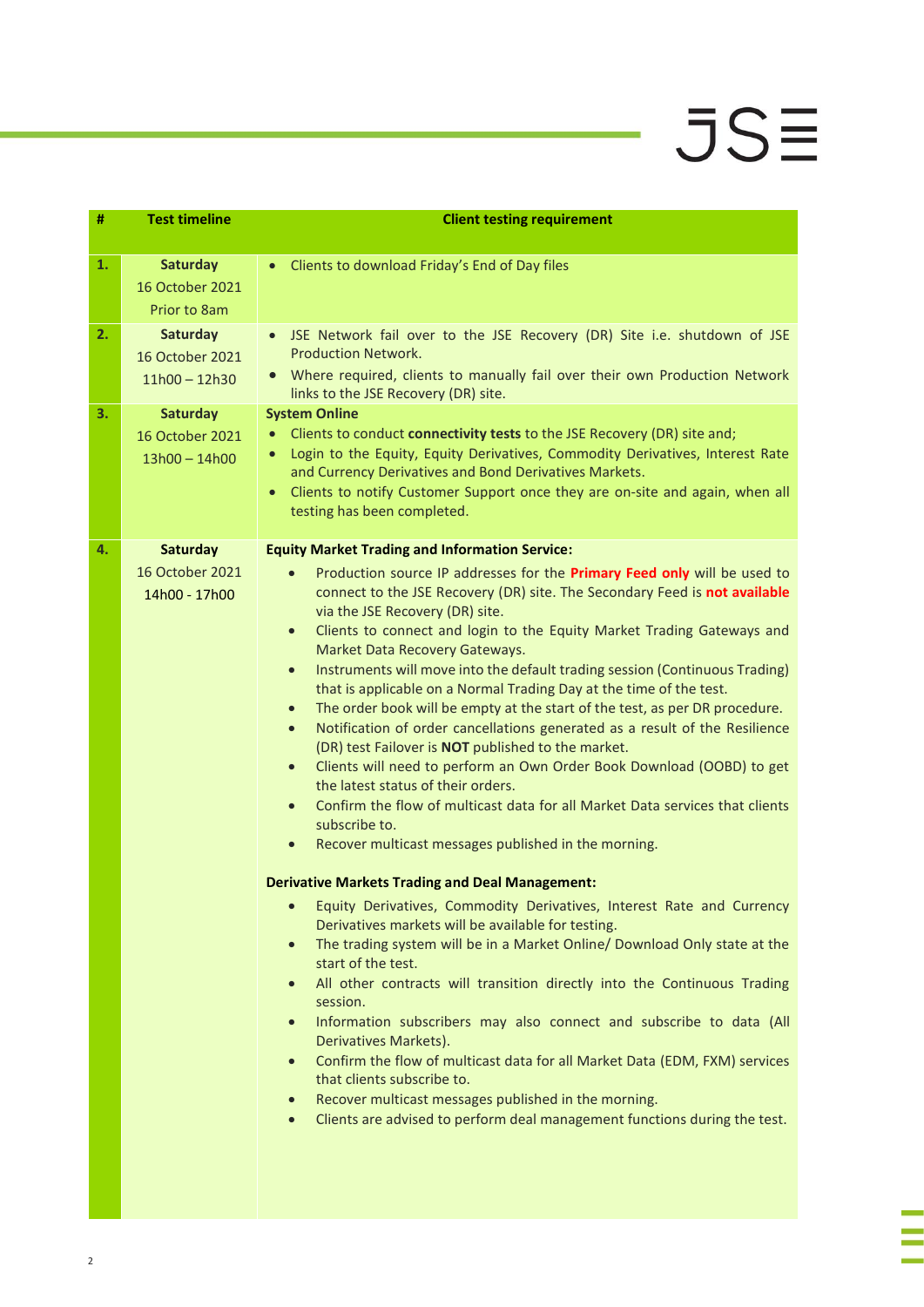# $JSE$

i.

| #  | <b>Test timeline</b>                                  | <b>Client testing requirement</b>                                                                                                                                                                                                                                                                                                                                                                                                                                                                                                                                                                                                                                                                                                                                                                                                                                                                                                                                                                                                                                                                                                                                                                                                                                                                                                                                                                                                                                                                                                                                                                                                                                                                                                                       |  |  |  |  |
|----|-------------------------------------------------------|---------------------------------------------------------------------------------------------------------------------------------------------------------------------------------------------------------------------------------------------------------------------------------------------------------------------------------------------------------------------------------------------------------------------------------------------------------------------------------------------------------------------------------------------------------------------------------------------------------------------------------------------------------------------------------------------------------------------------------------------------------------------------------------------------------------------------------------------------------------------------------------------------------------------------------------------------------------------------------------------------------------------------------------------------------------------------------------------------------------------------------------------------------------------------------------------------------------------------------------------------------------------------------------------------------------------------------------------------------------------------------------------------------------------------------------------------------------------------------------------------------------------------------------------------------------------------------------------------------------------------------------------------------------------------------------------------------------------------------------------------------|--|--|--|--|
| 1. | <b>Saturday</b><br>16 October 2021<br>Prior to 8am    | Clients to download Friday's End of Day files<br>$\bullet$                                                                                                                                                                                                                                                                                                                                                                                                                                                                                                                                                                                                                                                                                                                                                                                                                                                                                                                                                                                                                                                                                                                                                                                                                                                                                                                                                                                                                                                                                                                                                                                                                                                                                              |  |  |  |  |
| 2. | <b>Saturday</b><br>16 October 2021<br>$11h00 - 12h30$ | JSE Network fail over to the JSE Recovery (DR) Site i.e. shutdown of JSE<br>$\bullet$<br><b>Production Network.</b><br>Where required, clients to manually fail over their own Production Network<br>links to the JSE Recovery (DR) site.                                                                                                                                                                                                                                                                                                                                                                                                                                                                                                                                                                                                                                                                                                                                                                                                                                                                                                                                                                                                                                                                                                                                                                                                                                                                                                                                                                                                                                                                                                               |  |  |  |  |
| 3. | <b>Saturday</b><br>16 October 2021<br>$13h00 - 14h00$ | <b>System Online</b><br>Clients to conduct connectivity tests to the JSE Recovery (DR) site and;<br>$\bullet$<br>Login to the Equity, Equity Derivatives, Commodity Derivatives, Interest Rate<br>and Currency Derivatives and Bond Derivatives Markets.<br>Clients to notify Customer Support once they are on-site and again, when all<br>$\bullet$<br>testing has been completed.                                                                                                                                                                                                                                                                                                                                                                                                                                                                                                                                                                                                                                                                                                                                                                                                                                                                                                                                                                                                                                                                                                                                                                                                                                                                                                                                                                    |  |  |  |  |
| 4. | <b>Saturday</b><br>16 October 2021<br>14h00 - 17h00   | <b>Equity Market Trading and Information Service:</b><br>Production source IP addresses for the Primary Feed only will be used to<br>$\bullet$<br>connect to the JSE Recovery (DR) site. The Secondary Feed is not available<br>via the JSE Recovery (DR) site.<br>Clients to connect and login to the Equity Market Trading Gateways and<br>$\bullet$<br>Market Data Recovery Gateways.<br>Instruments will move into the default trading session (Continuous Trading)<br>$\bullet$<br>that is applicable on a Normal Trading Day at the time of the test.<br>The order book will be empty at the start of the test, as per DR procedure.<br>$\bullet$<br>Notification of order cancellations generated as a result of the Resilience<br>$\bullet$<br>(DR) test Failover is <b>NOT</b> published to the market.<br>Clients will need to perform an Own Order Book Download (OOBD) to get<br>$\bullet$<br>the latest status of their orders.<br>Confirm the flow of multicast data for all Market Data services that clients<br>$\bullet$<br>subscribe to.<br>Recover multicast messages published in the morning.<br>$\bullet$<br><b>Derivative Markets Trading and Deal Management:</b><br>• Equity Derivatives, Commodity Derivatives, Interest Rate and Currency<br>Derivatives markets will be available for testing.<br>The trading system will be in a Market Online/ Download Only state at the<br>$\bullet$<br>start of the test.<br>All other contracts will transition directly into the Continuous Trading<br>$\bullet$<br>session.<br>Information subscribers may also connect and subscribe to data (All<br>$\bullet$<br>Derivatives Markets).<br>Confirm the flow of multicast data for all Market Data (EDM, FXM) services<br>$\bullet$ |  |  |  |  |
|    |                                                       | that clients subscribe to.<br>Recover multicast messages published in the morning.<br>$\bullet$<br>Clients are advised to perform deal management functions during the test.<br>$\bullet$                                                                                                                                                                                                                                                                                                                                                                                                                                                                                                                                                                                                                                                                                                                                                                                                                                                                                                                                                                                                                                                                                                                                                                                                                                                                                                                                                                                                                                                                                                                                                               |  |  |  |  |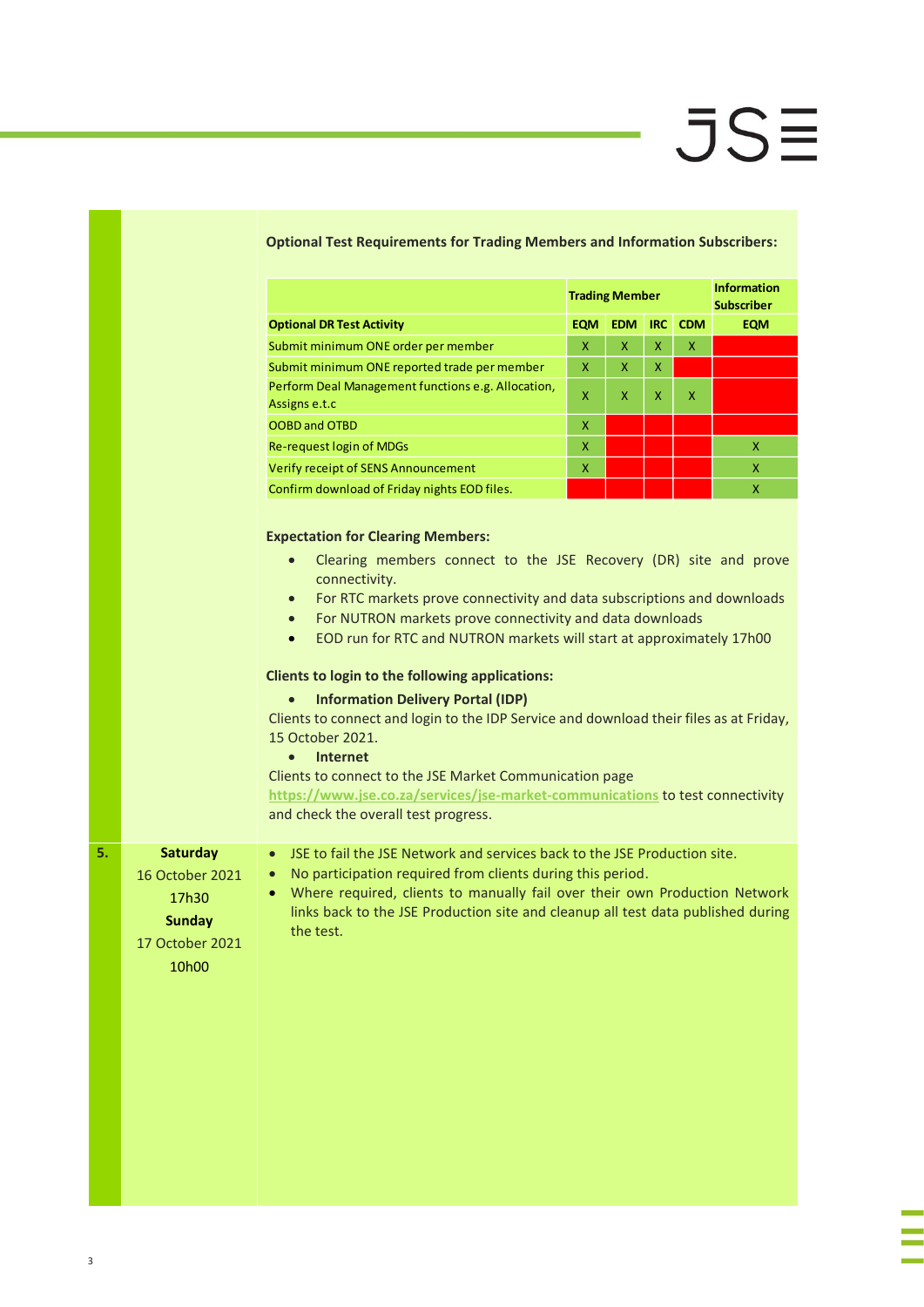# $JS\equiv$

|    |                                                                                          |                                                                                                                                                                                                                                                                                                                                                                                                                                                                                                                                                                                                                                                                                                  | <b>Trading Member</b> |              |              |            | <b>Information</b><br><b>Subscriber</b> |
|----|------------------------------------------------------------------------------------------|--------------------------------------------------------------------------------------------------------------------------------------------------------------------------------------------------------------------------------------------------------------------------------------------------------------------------------------------------------------------------------------------------------------------------------------------------------------------------------------------------------------------------------------------------------------------------------------------------------------------------------------------------------------------------------------------------|-----------------------|--------------|--------------|------------|-----------------------------------------|
|    |                                                                                          | <b>Optional DR Test Activity</b>                                                                                                                                                                                                                                                                                                                                                                                                                                                                                                                                                                                                                                                                 | <b>EQM</b>            | <b>EDM</b>   | IRC          | <b>CDM</b> | <b>EQM</b>                              |
|    |                                                                                          | Submit minimum ONE order per member                                                                                                                                                                                                                                                                                                                                                                                                                                                                                                                                                                                                                                                              | $\mathsf{X}$          | $\mathsf{x}$ | $\mathsf{x}$ | X          |                                         |
|    |                                                                                          | Submit minimum ONE reported trade per member                                                                                                                                                                                                                                                                                                                                                                                                                                                                                                                                                                                                                                                     | x                     | X            | X            |            |                                         |
|    |                                                                                          | Perform Deal Management functions e.g. Allocation,<br>Assigns e.t.c                                                                                                                                                                                                                                                                                                                                                                                                                                                                                                                                                                                                                              | x                     | X            | X.           | X          |                                         |
|    |                                                                                          | <b>OOBD and OTBD</b>                                                                                                                                                                                                                                                                                                                                                                                                                                                                                                                                                                                                                                                                             | $\pmb{\mathsf{X}}$    |              |              |            |                                         |
|    |                                                                                          | Re-request login of MDGs                                                                                                                                                                                                                                                                                                                                                                                                                                                                                                                                                                                                                                                                         | x                     |              |              |            | X                                       |
|    |                                                                                          | Verify receipt of SENS Announcement                                                                                                                                                                                                                                                                                                                                                                                                                                                                                                                                                                                                                                                              | $\pmb{\mathsf{X}}$    |              |              |            | X.                                      |
|    |                                                                                          | Confirm download of Friday nights EOD files.                                                                                                                                                                                                                                                                                                                                                                                                                                                                                                                                                                                                                                                     |                       |              |              |            | X                                       |
|    |                                                                                          | For RTC markets prove connectivity and data subscriptions and downloads<br>$\bullet$<br>For NUTRON markets prove connectivity and data downloads<br>$\bullet$<br>EOD run for RTC and NUTRON markets will start at approximately 17h00<br>$\bullet$<br>Clients to login to the following applications:<br><b>Information Delivery Portal (IDP)</b><br>$\bullet$<br>Clients to connect and login to the IDP Service and download their files as at Friday,<br>15 October 2021.<br><b>Internet</b><br>$\bullet$<br>Clients to connect to the JSE Market Communication page<br>https://www.jse.co.za/services/jse-market-communications to test connectivity<br>and check the overall test progress. |                       |              |              |            |                                         |
| 5. | <b>Saturday</b><br>16 October 2021<br>17h30<br><b>Sunday</b><br>17 October 2021<br>10h00 | JSE to fail the JSE Network and services back to the JSE Production site.<br>$\bullet$<br>No participation required from clients during this period.<br>$\bullet$<br>Where required, clients to manually fail over their own Production Network<br>links back to the JSE Production site and cleanup all test data published during<br>the test.                                                                                                                                                                                                                                                                                                                                                 |                       |              |              |            |                                         |